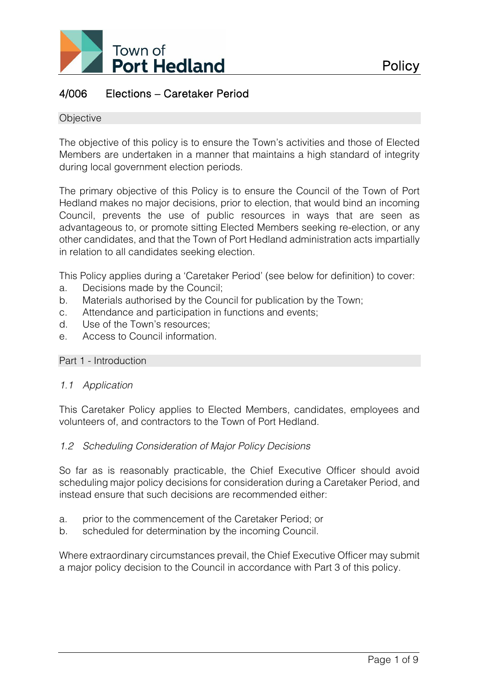

# 4/006 Elections – Caretaker Period

#### **Objective**

The objective of this policy is to ensure the Town's activities and those of Elected Members are undertaken in a manner that maintains a high standard of integrity during local government election periods.

The primary objective of this Policy is to ensure the Council of the Town of Port Hedland makes no major decisions, prior to election, that would bind an incoming Council, prevents the use of public resources in ways that are seen as advantageous to, or promote sitting Elected Members seeking re-election, or any other candidates, and that the Town of Port Hedland administration acts impartially in relation to all candidates seeking election.

This Policy applies during a 'Caretaker Period' (see below for definition) to cover:

- a. Decisions made by the Council;
- b. Materials authorised by the Council for publication by the Town;
- c. Attendance and participation in functions and events;
- d. Use of the Town's resources;
- e. Access to Council information.

#### Part 1 - Introduction

#### *1.1 Application*

This Caretaker Policy applies to Elected Members, candidates, employees and volunteers of, and contractors to the Town of Port Hedland.

#### *1.2 Scheduling Consideration of Major Policy Decisions*

So far as is reasonably practicable, the Chief Executive Officer should avoid scheduling major policy decisions for consideration during a Caretaker Period, and instead ensure that such decisions are recommended either:

- a. prior to the commencement of the Caretaker Period; or
- b. scheduled for determination by the incoming Council.

Where extraordinary circumstances prevail, the Chief Executive Officer may submit a major policy decision to the Council in accordance with Part 3 of this policy.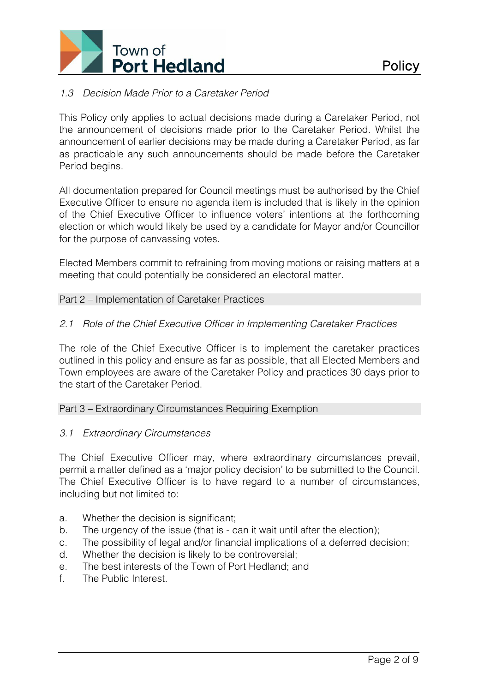

# *1.3 Decision Made Prior to a Caretaker Period*

This Policy only applies to actual decisions made during a Caretaker Period, not the announcement of decisions made prior to the Caretaker Period. Whilst the announcement of earlier decisions may be made during a Caretaker Period, as far as practicable any such announcements should be made before the Caretaker Period begins.

All documentation prepared for Council meetings must be authorised by the Chief Executive Officer to ensure no agenda item is included that is likely in the opinion of the Chief Executive Officer to influence voters' intentions at the forthcoming election or which would likely be used by a candidate for Mayor and/or Councillor for the purpose of canvassing votes.

Elected Members commit to refraining from moving motions or raising matters at a meeting that could potentially be considered an electoral matter.

#### Part 2 – Implementation of Caretaker Practices

## *2.1 Role of the Chief Executive Officer in Implementing Caretaker Practices*

The role of the Chief Executive Officer is to implement the caretaker practices outlined in this policy and ensure as far as possible, that all Elected Members and Town employees are aware of the Caretaker Policy and practices 30 days prior to the start of the Caretaker Period.

#### Part 3 – Extraordinary Circumstances Requiring Exemption

#### *3.1 Extraordinary Circumstances*

The Chief Executive Officer may, where extraordinary circumstances prevail, permit a matter defined as a 'major policy decision' to be submitted to the Council. The Chief Executive Officer is to have regard to a number of circumstances, including but not limited to:

- a. Whether the decision is significant;
- b. The urgency of the issue (that is can it wait until after the election);
- c. The possibility of legal and/or financial implications of a deferred decision;
- d. Whether the decision is likely to be controversial;
- e. The best interests of the Town of Port Hedland; and
- f. The Public Interest.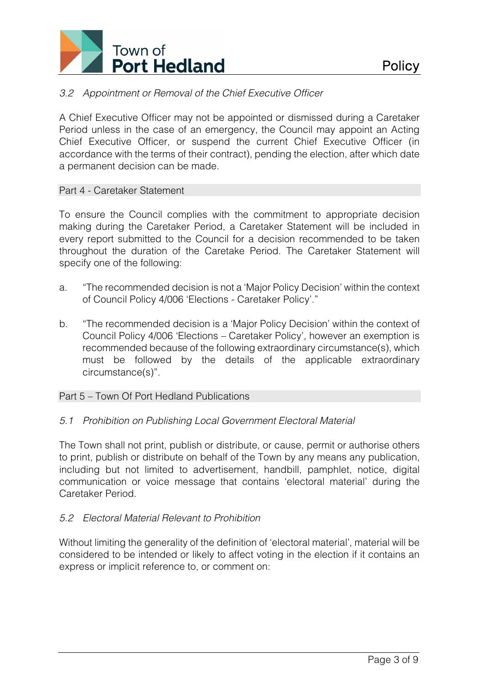

# *3.2 Appointment or Removal of the Chief Executive Officer*

A Chief Executive Officer may not be appointed or dismissed during a Caretaker Period unless in the case of an emergency, the Council may appoint an Acting Chief Executive Officer, or suspend the current Chief Executive Officer (in accordance with the terms of their contract), pending the election, after which date a permanent decision can be made.

#### Part 4 - Caretaker Statement

To ensure the Council complies with the commitment to appropriate decision making during the Caretaker Period, a Caretaker Statement will be included in every report submitted to the Council for a decision recommended to be taken throughout the duration of the Caretake Period. The Caretaker Statement will specify one of the following:

- a. "The recommended decision is not a 'Major Policy Decision' within the context of Council Policy 4/006 'Elections - Caretaker Policy'."
- b. "The recommended decision is a 'Major Policy Decision' within the context of Council Policy 4/006 'Elections – Caretaker Policy', however an exemption is recommended because of the following extraordinary circumstance(s), which must be followed by the details of the applicable extraordinary circumstance(s)".

#### Part 5 – Town Of Port Hedland Publications

# *5.1 Prohibition on Publishing Local Government Electoral Material*

The Town shall not print, publish or distribute, or cause, permit or authorise others to print, publish or distribute on behalf of the Town by any means any publication, including but not limited to advertisement, handbill, pamphlet, notice, digital communication or voice message that contains 'electoral material' during the Caretaker Period.

# *5.2 Electoral Material Relevant to Prohibition*

Without limiting the generality of the definition of 'electoral material', material will be considered to be intended or likely to affect voting in the election if it contains an express or implicit reference to, or comment on: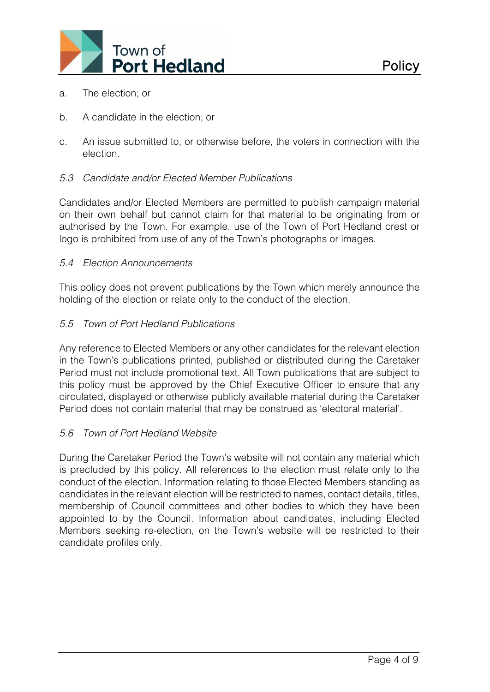

- a. The election; or
- b. A candidate in the election; or
- c. An issue submitted to, or otherwise before, the voters in connection with the election.

# *5.3 Candidate and/or Elected Member Publications*

Candidates and/or Elected Members are permitted to publish campaign material on their own behalf but cannot claim for that material to be originating from or authorised by the Town. For example, use of the Town of Port Hedland crest or logo is prohibited from use of any of the Town's photographs or images.

## *5.4 Election Announcements*

This policy does not prevent publications by the Town which merely announce the holding of the election or relate only to the conduct of the election.

## *5.5 Town of Port Hedland Publications*

Any reference to Elected Members or any other candidates for the relevant election in the Town's publications printed, published or distributed during the Caretaker Period must not include promotional text. All Town publications that are subject to this policy must be approved by the Chief Executive Officer to ensure that any circulated, displayed or otherwise publicly available material during the Caretaker Period does not contain material that may be construed as 'electoral material'.

# *5.6 Town of Port Hedland Website*

During the Caretaker Period the Town's website will not contain any material which is precluded by this policy. All references to the election must relate only to the conduct of the election. Information relating to those Elected Members standing as candidates in the relevant election will be restricted to names, contact details, titles, membership of Council committees and other bodies to which they have been appointed to by the Council. Information about candidates, including Elected Members seeking re-election, on the Town's website will be restricted to their candidate profiles only.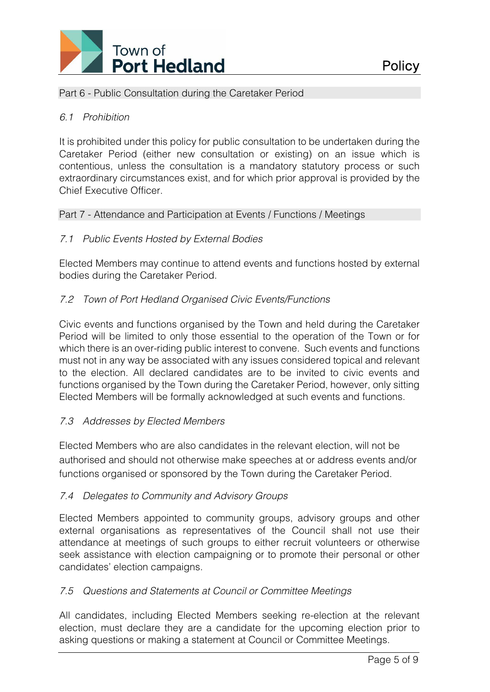

#### Part 6 - Public Consultation during the Caretaker Period

## *6.1 Prohibition*

It is prohibited under this policy for public consultation to be undertaken during the Caretaker Period (either new consultation or existing) on an issue which is contentious, unless the consultation is a mandatory statutory process or such extraordinary circumstances exist, and for which prior approval is provided by the Chief Executive Officer.

#### Part 7 - Attendance and Participation at Events / Functions / Meetings

## *7.1 Public Events Hosted by External Bodies*

Elected Members may continue to attend events and functions hosted by external bodies during the Caretaker Period.

## *7.2 Town of Port Hedland Organised Civic Events/Functions*

Civic events and functions organised by the Town and held during the Caretaker Period will be limited to only those essential to the operation of the Town or for which there is an over-riding public interest to convene. Such events and functions must not in any way be associated with any issues considered topical and relevant to the election. All declared candidates are to be invited to civic events and functions organised by the Town during the Caretaker Period, however, only sitting Elected Members will be formally acknowledged at such events and functions.

#### *7.3 Addresses by Elected Members*

Elected Members who are also candidates in the relevant election, will not be authorised and should not otherwise make speeches at or address events and/or functions organised or sponsored by the Town during the Caretaker Period.

#### *7.4 Delegates to Community and Advisory Groups*

Elected Members appointed to community groups, advisory groups and other external organisations as representatives of the Council shall not use their attendance at meetings of such groups to either recruit volunteers or otherwise seek assistance with election campaigning or to promote their personal or other candidates' election campaigns.

#### *7.5 Questions and Statements at Council or Committee Meetings*

All candidates, including Elected Members seeking re-election at the relevant election, must declare they are a candidate for the upcoming election prior to asking questions or making a statement at Council or Committee Meetings.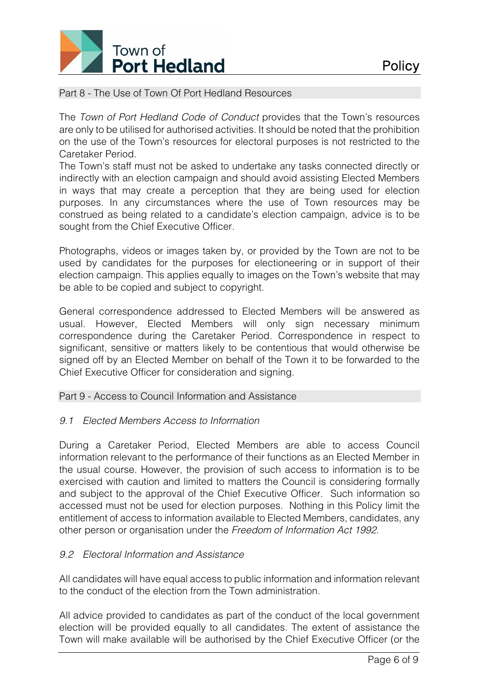

# Part 8 - The Use of Town Of Port Hedland Resources

The *Town of Port Hedland Code of Conduct* provides that the Town's resources are only to be utilised for authorised activities. It should be noted that the prohibition on the use of the Town's resources for electoral purposes is not restricted to the Caretaker Period.

The Town's staff must not be asked to undertake any tasks connected directly or indirectly with an election campaign and should avoid assisting Elected Members in ways that may create a perception that they are being used for election purposes. In any circumstances where the use of Town resources may be construed as being related to a candidate's election campaign, advice is to be sought from the Chief Executive Officer.

Photographs, videos or images taken by, or provided by the Town are not to be used by candidates for the purposes for electioneering or in support of their election campaign. This applies equally to images on the Town's website that may be able to be copied and subject to copyright.

General correspondence addressed to Elected Members will be answered as usual. However, Elected Members will only sign necessary minimum correspondence during the Caretaker Period. Correspondence in respect to significant, sensitive or matters likely to be contentious that would otherwise be signed off by an Elected Member on behalf of the Town it to be forwarded to the Chief Executive Officer for consideration and signing.

# Part 9 - Access to Council Information and Assistance

# *9.1 Elected Members Access to Information*

During a Caretaker Period, Elected Members are able to access Council information relevant to the performance of their functions as an Elected Member in the usual course. However, the provision of such access to information is to be exercised with caution and limited to matters the Council is considering formally and subject to the approval of the Chief Executive Officer. Such information so accessed must not be used for election purposes. Nothing in this Policy limit the entitlement of access to information available to Elected Members, candidates, any other person or organisation under the *Freedom of Information Act 1992*.

# *9.2 Electoral Information and Assistance*

All candidates will have equal access to public information and information relevant to the conduct of the election from the Town administration.

All advice provided to candidates as part of the conduct of the local government election will be provided equally to all candidates. The extent of assistance the Town will make available will be authorised by the Chief Executive Officer (or the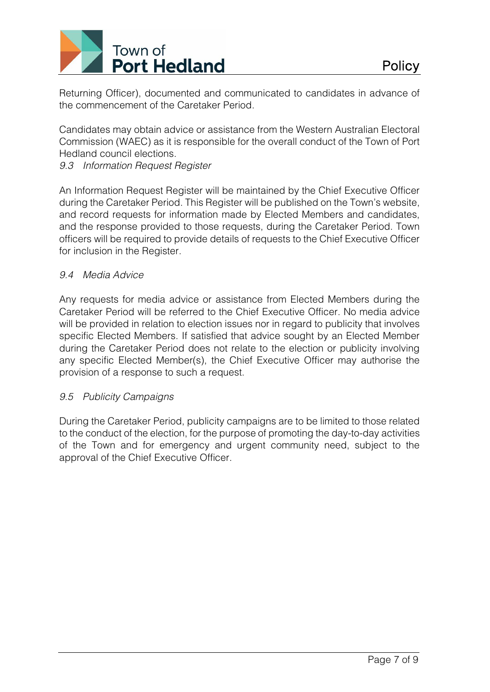

Returning Officer), documented and communicated to candidates in advance of the commencement of the Caretaker Period.

Candidates may obtain advice or assistance from the Western Australian Electoral Commission (WAEC) as it is responsible for the overall conduct of the Town of Port Hedland council elections.

# *9.3 Information Request Register*

An Information Request Register will be maintained by the Chief Executive Officer during the Caretaker Period. This Register will be published on the Town's website, and record requests for information made by Elected Members and candidates, and the response provided to those requests, during the Caretaker Period. Town officers will be required to provide details of requests to the Chief Executive Officer for inclusion in the Register.

## *9.4 Media Advice*

Any requests for media advice or assistance from Elected Members during the Caretaker Period will be referred to the Chief Executive Officer. No media advice will be provided in relation to election issues nor in regard to publicity that involves specific Elected Members. If satisfied that advice sought by an Elected Member during the Caretaker Period does not relate to the election or publicity involving any specific Elected Member(s), the Chief Executive Officer may authorise the provision of a response to such a request.

# *9.5 Publicity Campaigns*

During the Caretaker Period, publicity campaigns are to be limited to those related to the conduct of the election, for the purpose of promoting the day-to-day activities of the Town and for emergency and urgent community need, subject to the approval of the Chief Executive Officer.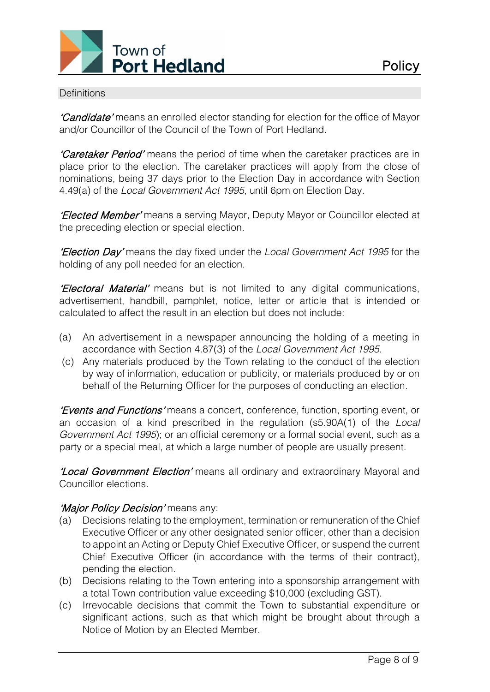

#### **Definitions**

'Candidate' means an enrolled elector standing for election for the office of Mayor and/or Councillor of the Council of the Town of Port Hedland.

'Caretaker Period' means the period of time when the caretaker practices are in place prior to the election. The caretaker practices will apply from the close of nominations, being 37 days prior to the Election Day in accordance with Section 4.49(a) of the *Local Government Act 1995*, until 6pm on Election Day.

'Elected Member' means a serving Mayor, Deputy Mayor or Councillor elected at the preceding election or special election.

'Election Day' means the day fixed under the *Local Government Act 1995* for the holding of any poll needed for an election.

'Electoral Material' means but is not limited to any digital communications, advertisement, handbill, pamphlet, notice, letter or article that is intended or calculated to affect the result in an election but does not include:

- (a) An advertisement in a newspaper announcing the holding of a meeting in accordance with Section 4.87(3) of the *Local Government Act 1995.*
- (c) Any materials produced by the Town relating to the conduct of the election by way of information, education or publicity, or materials produced by or on behalf of the Returning Officer for the purposes of conducting an election.

'Events and Functions' means a concert, conference, function, sporting event, or an occasion of a kind prescribed in the regulation (s5.90A(1) of the *Local Government Act 1995*); or an official ceremony or a formal social event, such as a party or a special meal, at which a large number of people are usually present.

'Local Government Election' means all ordinary and extraordinary Mayoral and Councillor elections.

# 'Major Policy Decision' means any:

- (a) Decisions relating to the employment, termination or remuneration of the Chief Executive Officer or any other designated senior officer, other than a decision to appoint an Acting or Deputy Chief Executive Officer, or suspend the current Chief Executive Officer (in accordance with the terms of their contract), pending the election.
- (b) Decisions relating to the Town entering into a sponsorship arrangement with a total Town contribution value exceeding \$10,000 (excluding GST).
- (c) Irrevocable decisions that commit the Town to substantial expenditure or significant actions, such as that which might be brought about through a Notice of Motion by an Elected Member.